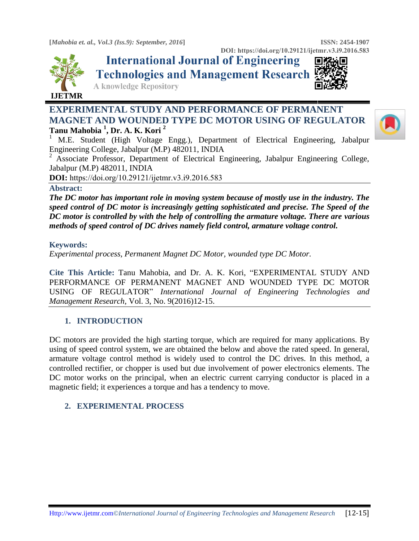



**International Journal of Engineering Technologies and Management Research** 



**A knowledge Repository** 

# **EXPERIMENTAL STUDY AND PERFORMANCE OF PERMANENT MAGNET AND WOUNDED TYPE DC MOTOR USING OF REGULATOR Tanu Mahobia <sup>1</sup> , Dr. A. K. Kori <sup>2</sup>**



<sup>1</sup> M.E. Student (High Voltage Engg.), Department of Electrical Engineering, Jabalpur Engineering College, Jabalpur (M.P) 482011, INDIA

<sup>2</sup> Associate Professor, Department of Electrical Engineering, Jabalpur Engineering College, Jabalpur (M.P) 482011, INDIA

**DOI:** https://doi.org/10.29121/ijetmr.v3.i9.2016.583

#### **Abstract:**

*The DC motor has important role in moving system because of mostly use in the industry. The speed control of DC motor is increasingly getting sophisticated and precise. The Speed of the DC motor is controlled by with the help of controlling the armature voltage. There are various methods of speed control of DC drives namely field control, armature voltage control.*

#### **Keywords:**

*Experimental process, Permanent Magnet DC Motor, wounded type DC Motor.*

**Cite This Article:** Tanu Mahobia, and Dr. A. K. Kori, "EXPERIMENTAL STUDY AND PERFORMANCE OF PERMANENT MAGNET AND WOUNDED TYPE DC MOTOR USING OF REGULATOR" *International Journal of Engineering Technologies and Management Research,* Vol. 3, No. 9(2016)12-15.

## **1. INTRODUCTION**

DC motors are provided the high starting torque, which are required for many applications. By using of speed control system, we are obtained the below and above the rated speed. In general, armature voltage control method is widely used to control the DC drives. In this method, a controlled rectifier, or chopper is used but due involvement of power electronics elements. The DC motor works on the principal, when an electric current carrying conductor is placed in a magnetic field; it experiences a torque and has a tendency to move.

## **2. EXPERIMENTAL PROCESS**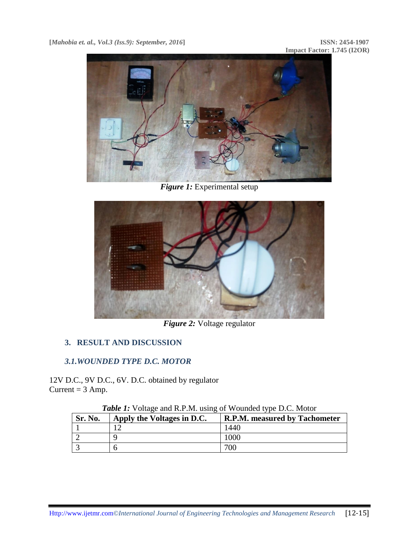

*Figure 1:* Experimental setup



*Figure 2:* Voltage regulator

# **3. RESULT AND DISCUSSION**

## *3.1.WOUNDED TYPE D.C. MOTOR*

12V D.C., 9V D.C., 6V. D.C. obtained by regulator Current  $= 3$  Amp.

| Sr. No. | Apply the Voltages in D.C. | R.P.M. measured by Tachometer |
|---------|----------------------------|-------------------------------|
|         |                            | 1440                          |
|         |                            | 1000                          |
|         |                            | 700                           |

*Table 1:* Voltage and R.P.M. using of Wounded type D.C. Motor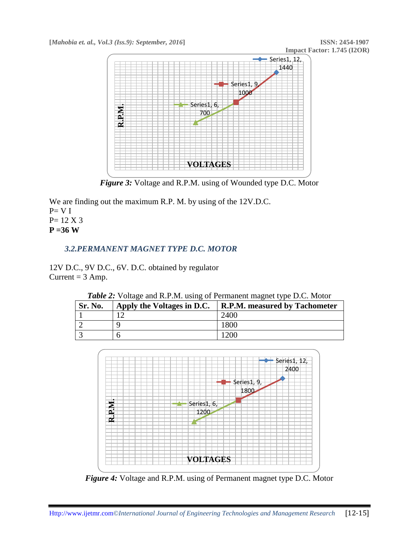

*Figure 3:* Voltage and R.P.M. using of Wounded type D.C. Motor

We are finding out the maximum R.P. M. by using of the 12V.D.C.  $P= V I$ P= 12 X 3 **P =36 W**

# *3.2.PERMANENT MAGNET TYPE D.C. MOTOR*

12V D.C., 9V D.C., 6V. D.C. obtained by regulator Current  $= 3$  Amp.

| <b>Sr. No.</b> | Apply the Voltages in D.C. | <b>R.P.M. measured by Tachometer</b> |
|----------------|----------------------------|--------------------------------------|
|                |                            | 2400                                 |
|                |                            | 1800                                 |
|                |                            | 1200                                 |

*Table 2:* Voltage and R.P.M. using of Permanent magnet type D.C. Motor



*Figure 4:* Voltage and R.P.M. using of Permanent magnet type D.C. Motor